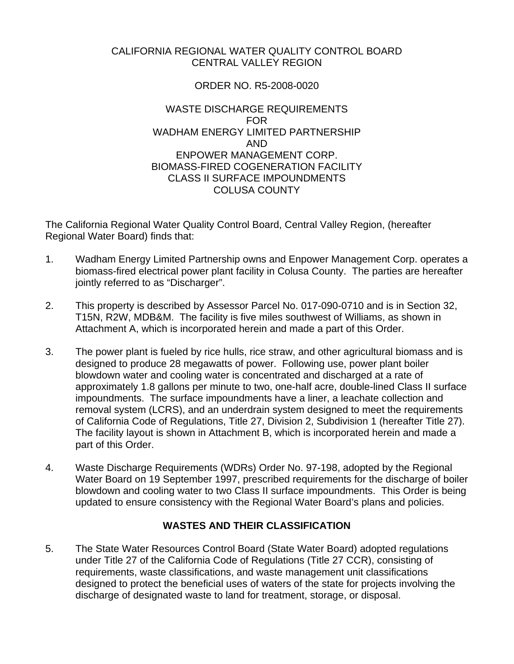## CALIFORNIA REGIONAL WATER QUALITY CONTROL BOARD CENTRAL VALLEY REGION

# ORDER NO. R5-2008-0020

### WASTE DISCHARGE REQUIREMENTS FOR WADHAM ENERGY LIMITED PARTNERSHIP AND ENPOWER MANAGEMENT CORP. BIOMASS-FIRED COGENERATION FACILITY CLASS II SURFACE IMPOUNDMENTS COLUSA COUNTY

The California Regional Water Quality Control Board, Central Valley Region, (hereafter Regional Water Board) finds that:

- 1. Wadham Energy Limited Partnership owns and Enpower Management Corp. operates a biomass-fired electrical power plant facility in Colusa County. The parties are hereafter jointly referred to as "Discharger".
- 2. This property is described by Assessor Parcel No. 017-090-0710 and is in Section 32, T15N, R2W, MDB&M. The facility is five miles southwest of Williams, as shown in Attachment A, which is incorporated herein and made a part of this Order.
- 3. The power plant is fueled by rice hulls, rice straw, and other agricultural biomass and is designed to produce 28 megawatts of power. Following use, power plant boiler blowdown water and cooling water is concentrated and discharged at a rate of approximately 1.8 gallons per minute to two, one-half acre, double-lined Class II surface impoundments. The surface impoundments have a liner, a leachate collection and removal system (LCRS), and an underdrain system designed to meet the requirements of California Code of Regulations, Title 27, Division 2, Subdivision 1 (hereafter Title 27). The facility layout is shown in Attachment B, which is incorporated herein and made a part of this Order.
- 4. Waste Discharge Requirements (WDRs) Order No. 97-198, adopted by the Regional Water Board on 19 September 1997, prescribed requirements for the discharge of boiler blowdown and cooling water to two Class II surface impoundments. This Order is being updated to ensure consistency with the Regional Water Board's plans and policies.

# **WASTES AND THEIR CLASSIFICATION**

5. The State Water Resources Control Board (State Water Board) adopted regulations under Title 27 of the California Code of Regulations (Title 27 CCR), consisting of requirements, waste classifications, and waste management unit classifications designed to protect the beneficial uses of waters of the state for projects involving the discharge of designated waste to land for treatment, storage, or disposal.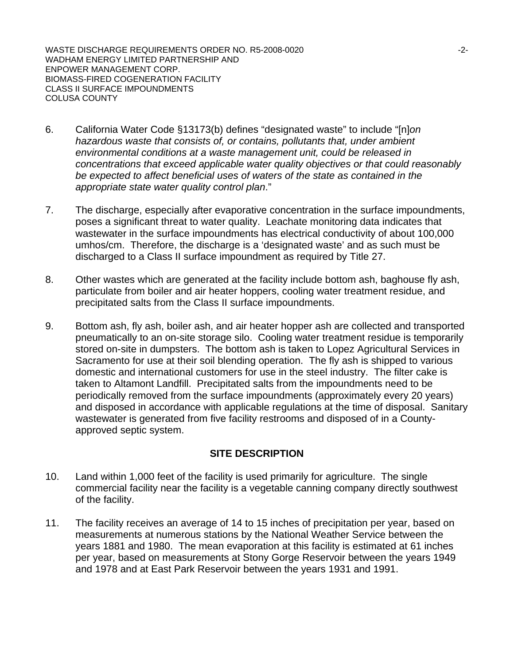WASTE DISCHARGE REQUIREMENTS ORDER NO. R5-2008-0020  $-2$ -2-WADHAM ENERGY LIMITED PARTNERSHIP AND ENPOWER MANAGEMENT CORP. BIOMASS-FIRED COGENERATION FACILITY CLASS II SURFACE IMPOUNDMENTS COLUSA COUNTY

- 6. California Water Code §13173(b) defines "designated waste" to include "[n]*on hazardous waste that consists of, or contains, pollutants that, under ambient environmental conditions at a waste management unit, could be released in concentrations that exceed applicable water quality objectives or that could reasonably be expected to affect beneficial uses of waters of the state as contained in the appropriate state water quality control plan*."
- 7. The discharge, especially after evaporative concentration in the surface impoundments, poses a significant threat to water quality. Leachate monitoring data indicates that wastewater in the surface impoundments has electrical conductivity of about 100,000 umhos/cm. Therefore, the discharge is a 'designated waste' and as such must be discharged to a Class II surface impoundment as required by Title 27.
- 8. Other wastes which are generated at the facility include bottom ash, baghouse fly ash, particulate from boiler and air heater hoppers, cooling water treatment residue, and precipitated salts from the Class II surface impoundments.
- 9. Bottom ash, fly ash, boiler ash, and air heater hopper ash are collected and transported pneumatically to an on-site storage silo. Cooling water treatment residue is temporarily stored on-site in dumpsters. The bottom ash is taken to Lopez Agricultural Services in Sacramento for use at their soil blending operation. The fly ash is shipped to various domestic and international customers for use in the steel industry. The filter cake is taken to Altamont Landfill. Precipitated salts from the impoundments need to be periodically removed from the surface impoundments (approximately every 20 years) and disposed in accordance with applicable regulations at the time of disposal. Sanitary wastewater is generated from five facility restrooms and disposed of in a Countyapproved septic system.

## **SITE DESCRIPTION**

- 10. Land within 1,000 feet of the facility is used primarily for agriculture. The single commercial facility near the facility is a vegetable canning company directly southwest of the facility.
- 11. The facility receives an average of 14 to 15 inches of precipitation per year, based on measurements at numerous stations by the National Weather Service between the years 1881 and 1980. The mean evaporation at this facility is estimated at 61 inches per year, based on measurements at Stony Gorge Reservoir between the years 1949 and 1978 and at East Park Reservoir between the years 1931 and 1991.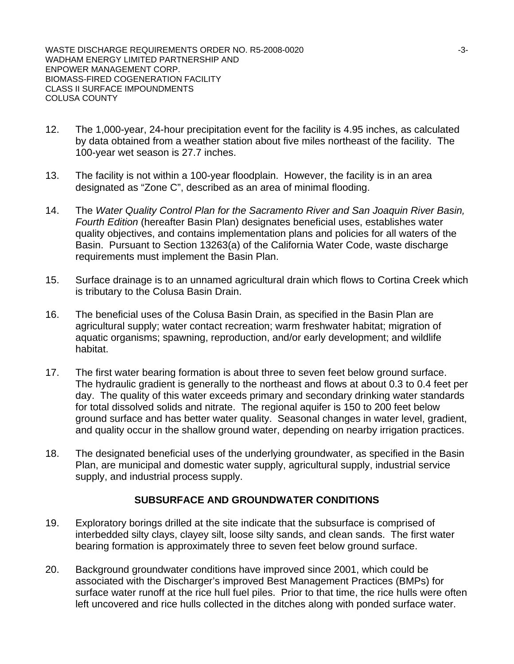WASTE DISCHARGE REQUIREMENTS ORDER NO. R5-2008-0020  $-3$ -3-WADHAM ENERGY LIMITED PARTNERSHIP AND ENPOWER MANAGEMENT CORP. BIOMASS-FIRED COGENERATION FACILITY CLASS II SURFACE IMPOUNDMENTS COLUSA COUNTY

- 12. The 1,000-year, 24-hour precipitation event for the facility is 4.95 inches, as calculated by data obtained from a weather station about five miles northeast of the facility. The 100-year wet season is 27.7 inches.
- 13. The facility is not within a 100-year floodplain. However, the facility is in an area designated as "Zone C", described as an area of minimal flooding.
- 14. The *Water Quality Control Plan for the Sacramento River and San Joaquin River Basin, Fourth Edition* (hereafter Basin Plan) designates beneficial uses, establishes water quality objectives, and contains implementation plans and policies for all waters of the Basin. Pursuant to Section 13263(a) of the California Water Code, waste discharge requirements must implement the Basin Plan.
- 15. Surface drainage is to an unnamed agricultural drain which flows to Cortina Creek which is tributary to the Colusa Basin Drain.
- 16. The beneficial uses of the Colusa Basin Drain, as specified in the Basin Plan are agricultural supply; water contact recreation; warm freshwater habitat; migration of aquatic organisms; spawning, reproduction, and/or early development; and wildlife habitat.
- 17. The first water bearing formation is about three to seven feet below ground surface. The hydraulic gradient is generally to the northeast and flows at about 0.3 to 0.4 feet per day. The quality of this water exceeds primary and secondary drinking water standards for total dissolved solids and nitrate. The regional aquifer is 150 to 200 feet below ground surface and has better water quality. Seasonal changes in water level, gradient, and quality occur in the shallow ground water, depending on nearby irrigation practices.
- 18. The designated beneficial uses of the underlying groundwater, as specified in the Basin Plan, are municipal and domestic water supply, agricultural supply, industrial service supply, and industrial process supply.

#### **SUBSURFACE AND GROUNDWATER CONDITIONS**

- 19. Exploratory borings drilled at the site indicate that the subsurface is comprised of interbedded silty clays, clayey silt, loose silty sands, and clean sands. The first water bearing formation is approximately three to seven feet below ground surface.
- 20. Background groundwater conditions have improved since 2001, which could be associated with the Discharger's improved Best Management Practices (BMPs) for surface water runoff at the rice hull fuel piles. Prior to that time, the rice hulls were often left uncovered and rice hulls collected in the ditches along with ponded surface water.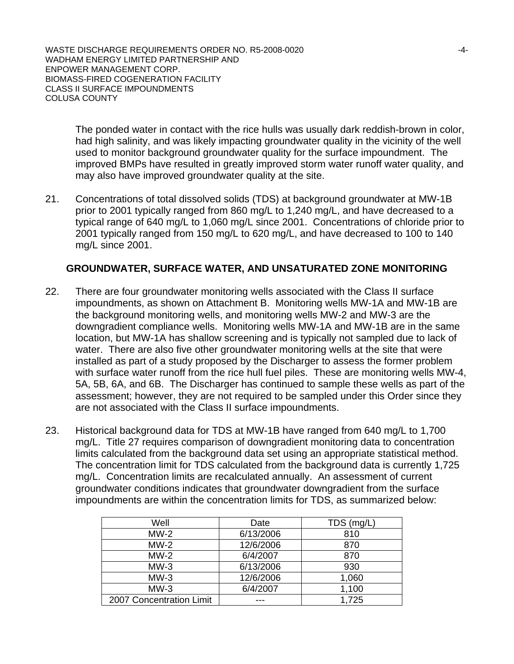WASTE DISCHARGE REQUIREMENTS ORDER NO. R5-2008-0020 -4- WADHAM ENERGY LIMITED PARTNERSHIP AND ENPOWER MANAGEMENT CORP. BIOMASS-FIRED COGENERATION FACILITY CLASS II SURFACE IMPOUNDMENTS COLUSA COUNTY

The ponded water in contact with the rice hulls was usually dark reddish-brown in color, had high salinity, and was likely impacting groundwater quality in the vicinity of the well used to monitor background groundwater quality for the surface impoundment. The improved BMPs have resulted in greatly improved storm water runoff water quality, and may also have improved groundwater quality at the site.

21. Concentrations of total dissolved solids (TDS) at background groundwater at MW-1B prior to 2001 typically ranged from 860 mg/L to 1,240 mg/L, and have decreased to a typical range of 640 mg/L to 1,060 mg/L since 2001. Concentrations of chloride prior to 2001 typically ranged from 150 mg/L to 620 mg/L, and have decreased to 100 to 140 mg/L since 2001.

### **GROUNDWATER, SURFACE WATER, AND UNSATURATED ZONE MONITORING**

- 22. There are four groundwater monitoring wells associated with the Class II surface impoundments, as shown on Attachment B. Monitoring wells MW-1A and MW-1B are the background monitoring wells, and monitoring wells MW-2 and MW-3 are the downgradient compliance wells. Monitoring wells MW-1A and MW-1B are in the same location, but MW-1A has shallow screening and is typically not sampled due to lack of water. There are also five other groundwater monitoring wells at the site that were installed as part of a study proposed by the Discharger to assess the former problem with surface water runoff from the rice hull fuel piles. These are monitoring wells MW-4, 5A, 5B, 6A, and 6B. The Discharger has continued to sample these wells as part of the assessment; however, they are not required to be sampled under this Order since they are not associated with the Class II surface impoundments.
- 23. Historical background data for TDS at MW-1B have ranged from 640 mg/L to 1,700 mg/L. Title 27 requires comparison of downgradient monitoring data to concentration limits calculated from the background data set using an appropriate statistical method. The concentration limit for TDS calculated from the background data is currently 1,725 mg/L. Concentration limits are recalculated annually. An assessment of current groundwater conditions indicates that groundwater downgradient from the surface impoundments are within the concentration limits for TDS, as summarized below:

| Well                     | Date      | TDS (mg/L) |
|--------------------------|-----------|------------|
| $MW-2$                   | 6/13/2006 | 810        |
| $MW-2$                   | 12/6/2006 | 870        |
| $MW-2$                   | 6/4/2007  | 870        |
| $MW-3$                   | 6/13/2006 | 930        |
| $MW-3$                   | 12/6/2006 | 1,060      |
| $MW-3$                   | 6/4/2007  | 1,100      |
| 2007 Concentration Limit |           | 1,725      |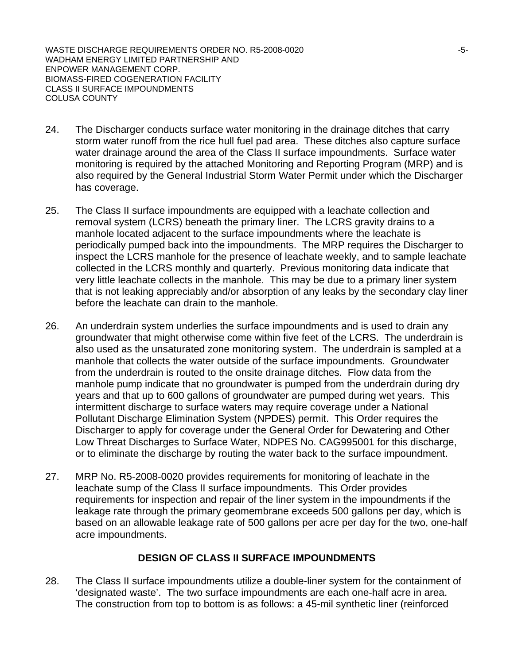WASTE DISCHARGE REQUIREMENTS ORDER NO. R5-2008-0020  $-5$ -5-WADHAM ENERGY LIMITED PARTNERSHIP AND ENPOWER MANAGEMENT CORP. BIOMASS-FIRED COGENERATION FACILITY CLASS II SURFACE IMPOUNDMENTS COLUSA COUNTY

- 24. The Discharger conducts surface water monitoring in the drainage ditches that carry storm water runoff from the rice hull fuel pad area. These ditches also capture surface water drainage around the area of the Class II surface impoundments. Surface water monitoring is required by the attached Monitoring and Reporting Program (MRP) and is also required by the General Industrial Storm Water Permit under which the Discharger has coverage.
- 25. The Class II surface impoundments are equipped with a leachate collection and removal system (LCRS) beneath the primary liner. The LCRS gravity drains to a manhole located adjacent to the surface impoundments where the leachate is periodically pumped back into the impoundments. The MRP requires the Discharger to inspect the LCRS manhole for the presence of leachate weekly, and to sample leachate collected in the LCRS monthly and quarterly. Previous monitoring data indicate that very little leachate collects in the manhole. This may be due to a primary liner system that is not leaking appreciably and/or absorption of any leaks by the secondary clay liner before the leachate can drain to the manhole.
- 26. An underdrain system underlies the surface impoundments and is used to drain any groundwater that might otherwise come within five feet of the LCRS. The underdrain is also used as the unsaturated zone monitoring system. The underdrain is sampled at a manhole that collects the water outside of the surface impoundments. Groundwater from the underdrain is routed to the onsite drainage ditches. Flow data from the manhole pump indicate that no groundwater is pumped from the underdrain during dry years and that up to 600 gallons of groundwater are pumped during wet years. This intermittent discharge to surface waters may require coverage under a National Pollutant Discharge Elimination System (NPDES) permit. This Order requires the Discharger to apply for coverage under the General Order for Dewatering and Other Low Threat Discharges to Surface Water, NDPES No. CAG995001 for this discharge, or to eliminate the discharge by routing the water back to the surface impoundment.
- 27. MRP No. R5-2008-0020 provides requirements for monitoring of leachate in the leachate sump of the Class II surface impoundments. This Order provides requirements for inspection and repair of the liner system in the impoundments if the leakage rate through the primary geomembrane exceeds 500 gallons per day, which is based on an allowable leakage rate of 500 gallons per acre per day for the two, one-half acre impoundments.

## **DESIGN OF CLASS II SURFACE IMPOUNDMENTS**

28. The Class II surface impoundments utilize a double-liner system for the containment of 'designated waste'. The two surface impoundments are each one-half acre in area. The construction from top to bottom is as follows: a 45-mil synthetic liner (reinforced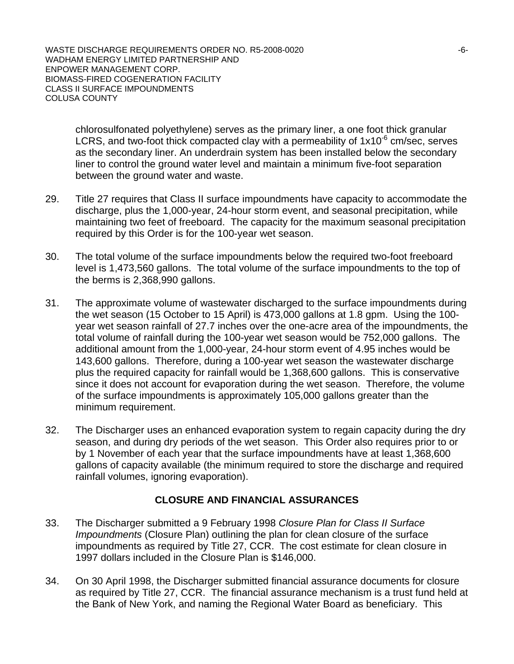WASTE DISCHARGE REQUIREMENTS ORDER NO. R5-2008-0020 UNITED THE SERVICE REQUIREMENTS ORDER NO. R5-2008-0020 WADHAM ENERGY LIMITED PARTNERSHIP AND ENPOWER MANAGEMENT CORP. BIOMASS-FIRED COGENERATION FACILITY CLASS II SURFACE IMPOUNDMENTS COLUSA COUNTY

chlorosulfonated polyethylene) serves as the primary liner, a one foot thick granular LCRS, and two-foot thick compacted clay with a permeability of  $1x10^{-6}$  cm/sec, serves as the secondary liner. An underdrain system has been installed below the secondary liner to control the ground water level and maintain a minimum five-foot separation between the ground water and waste.

- 29. Title 27 requires that Class II surface impoundments have capacity to accommodate the discharge, plus the 1,000-year, 24-hour storm event, and seasonal precipitation, while maintaining two feet of freeboard. The capacity for the maximum seasonal precipitation required by this Order is for the 100-year wet season.
- 30. The total volume of the surface impoundments below the required two-foot freeboard level is 1,473,560 gallons. The total volume of the surface impoundments to the top of the berms is 2,368,990 gallons.
- 31. The approximate volume of wastewater discharged to the surface impoundments during the wet season (15 October to 15 April) is 473,000 gallons at 1.8 gpm. Using the 100 year wet season rainfall of 27.7 inches over the one-acre area of the impoundments, the total volume of rainfall during the 100-year wet season would be 752,000 gallons. The additional amount from the 1,000-year, 24-hour storm event of 4.95 inches would be 143,600 gallons. Therefore, during a 100-year wet season the wastewater discharge plus the required capacity for rainfall would be 1,368,600 gallons. This is conservative since it does not account for evaporation during the wet season. Therefore, the volume of the surface impoundments is approximately 105,000 gallons greater than the minimum requirement.
- 32. The Discharger uses an enhanced evaporation system to regain capacity during the dry season, and during dry periods of the wet season. This Order also requires prior to or by 1 November of each year that the surface impoundments have at least 1,368,600 gallons of capacity available (the minimum required to store the discharge and required rainfall volumes, ignoring evaporation).

## **CLOSURE AND FINANCIAL ASSURANCES**

- 33. The Discharger submitted a 9 February 1998 *Closure Plan for Class II Surface Impoundments* (Closure Plan) outlining the plan for clean closure of the surface impoundments as required by Title 27, CCR. The cost estimate for clean closure in 1997 dollars included in the Closure Plan is \$146,000.
- 34. On 30 April 1998, the Discharger submitted financial assurance documents for closure as required by Title 27, CCR. The financial assurance mechanism is a trust fund held at the Bank of New York, and naming the Regional Water Board as beneficiary. This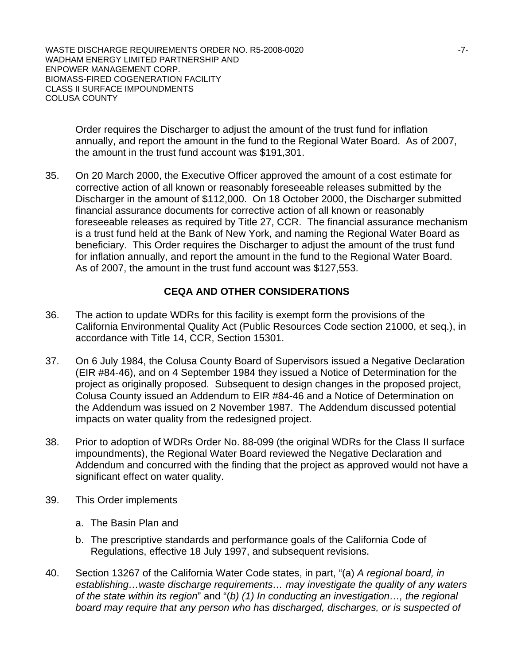WASTE DISCHARGE REQUIREMENTS ORDER NO. R5-2008-0020  $-7$ - $7$ -WADHAM ENERGY LIMITED PARTNERSHIP AND ENPOWER MANAGEMENT CORP. BIOMASS-FIRED COGENERATION FACILITY CLASS II SURFACE IMPOUNDMENTS COLUSA COUNTY

Order requires the Discharger to adjust the amount of the trust fund for inflation annually, and report the amount in the fund to the Regional Water Board. As of 2007, the amount in the trust fund account was \$191,301.

35. On 20 March 2000, the Executive Officer approved the amount of a cost estimate for corrective action of all known or reasonably foreseeable releases submitted by the Discharger in the amount of \$112,000. On 18 October 2000, the Discharger submitted financial assurance documents for corrective action of all known or reasonably foreseeable releases as required by Title 27, CCR. The financial assurance mechanism is a trust fund held at the Bank of New York, and naming the Regional Water Board as beneficiary. This Order requires the Discharger to adjust the amount of the trust fund for inflation annually, and report the amount in the fund to the Regional Water Board. As of 2007, the amount in the trust fund account was \$127,553.

## **CEQA AND OTHER CONSIDERATIONS**

- 36. The action to update WDRs for this facility is exempt form the provisions of the California Environmental Quality Act (Public Resources Code section 21000, et seq.), in accordance with Title 14, CCR, Section 15301.
- 37. On 6 July 1984, the Colusa County Board of Supervisors issued a Negative Declaration (EIR #84-46), and on 4 September 1984 they issued a Notice of Determination for the project as originally proposed. Subsequent to design changes in the proposed project, Colusa County issued an Addendum to EIR #84-46 and a Notice of Determination on the Addendum was issued on 2 November 1987. The Addendum discussed potential impacts on water quality from the redesigned project.
- 38. Prior to adoption of WDRs Order No. 88-099 (the original WDRs for the Class II surface impoundments), the Regional Water Board reviewed the Negative Declaration and Addendum and concurred with the finding that the project as approved would not have a significant effect on water quality.
- 39. This Order implements
	- a. The Basin Plan and
	- b. The prescriptive standards and performance goals of the California Code of Regulations, effective 18 July 1997, and subsequent revisions.
- 40. Section 13267 of the California Water Code states, in part, "(a) *A regional board, in establishing…waste discharge requirements… may investigate the quality of any waters of the state within its region*" and "(*b) (1) In conducting an investigation…, the regional board may require that any person who has discharged, discharges, or is suspected of*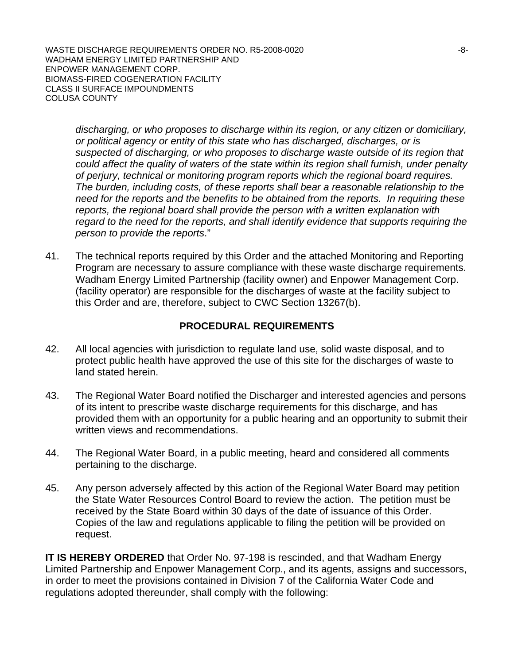WASTE DISCHARGE REQUIREMENTS ORDER NO. R5-2008-0020 UNITED THAT ASSESSED THAT THE RESIDENCE REQUIREMENTS ORDER NO. RS-2008-0020 WADHAM ENERGY LIMITED PARTNERSHIP AND ENPOWER MANAGEMENT CORP. BIOMASS-FIRED COGENERATION FACILITY CLASS II SURFACE IMPOUNDMENTS COLUSA COUNTY

*discharging, or who proposes to discharge within its region, or any citizen or domiciliary, or political agency or entity of this state who has discharged, discharges, or is suspected of discharging, or who proposes to discharge waste outside of its region that could affect the quality of waters of the state within its region shall furnish, under penalty of perjury, technical or monitoring program reports which the regional board requires. The burden, including costs, of these reports shall bear a reasonable relationship to the need for the reports and the benefits to be obtained from the reports. In requiring these reports, the regional board shall provide the person with a written explanation with regard to the need for the reports, and shall identify evidence that supports requiring the person to provide the reports*."

41. The technical reports required by this Order and the attached Monitoring and Reporting Program are necessary to assure compliance with these waste discharge requirements. Wadham Energy Limited Partnership (facility owner) and Enpower Management Corp. (facility operator) are responsible for the discharges of waste at the facility subject to this Order and are, therefore, subject to CWC Section 13267(b).

### **PROCEDURAL REQUIREMENTS**

- 42. All local agencies with jurisdiction to regulate land use, solid waste disposal, and to protect public health have approved the use of this site for the discharges of waste to land stated herein.
- 43. The Regional Water Board notified the Discharger and interested agencies and persons of its intent to prescribe waste discharge requirements for this discharge, and has provided them with an opportunity for a public hearing and an opportunity to submit their written views and recommendations.
- 44. The Regional Water Board, in a public meeting, heard and considered all comments pertaining to the discharge.
- 45. Any person adversely affected by this action of the Regional Water Board may petition the State Water Resources Control Board to review the action. The petition must be received by the State Board within 30 days of the date of issuance of this Order. Copies of the law and regulations applicable to filing the petition will be provided on request.

**IT IS HEREBY ORDERED** that Order No. 97-198 is rescinded, and that Wadham Energy Limited Partnership and Enpower Management Corp., and its agents, assigns and successors, in order to meet the provisions contained in Division 7 of the California Water Code and regulations adopted thereunder, shall comply with the following: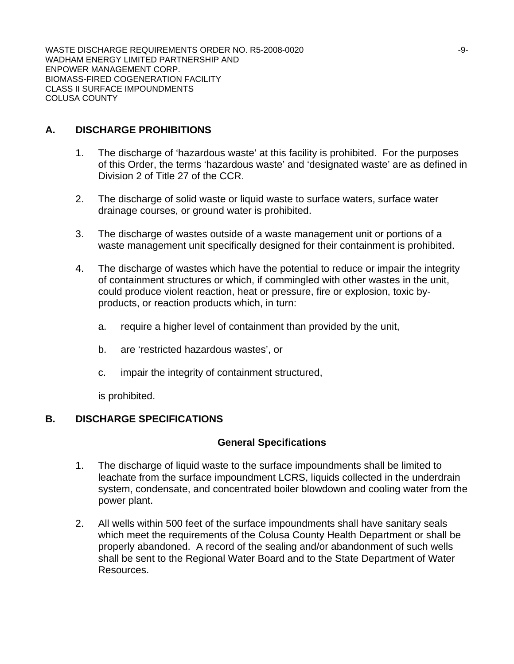WASTE DISCHARGE REQUIREMENTS ORDER NO. R5-2008-0020 WADHAM ENERGY LIMITED PARTNERSHIP AND ENPOWER MANAGEMENT CORP. BIOMASS-FIRED COGENERATION FACILITY CLASS II SURFACE IMPOUNDMENTS COLUSA COUNTY

# **A. DISCHARGE PROHIBITIONS**

- 1. The discharge of 'hazardous waste' at this facility is prohibited. For the purposes of this Order, the terms 'hazardous waste' and 'designated waste' are as defined in Division 2 of Title 27 of the CCR.
- 2. The discharge of solid waste or liquid waste to surface waters, surface water drainage courses, or ground water is prohibited.
- 3. The discharge of wastes outside of a waste management unit or portions of a waste management unit specifically designed for their containment is prohibited.
- 4. The discharge of wastes which have the potential to reduce or impair the integrity of containment structures or which, if commingled with other wastes in the unit, could produce violent reaction, heat or pressure, fire or explosion, toxic byproducts, or reaction products which, in turn:
	- a. require a higher level of containment than provided by the unit,
	- b. are 'restricted hazardous wastes', or
	- c. impair the integrity of containment structured,

is prohibited.

## **B. DISCHARGE SPECIFICATIONS**

## **General Specifications**

- 1. The discharge of liquid waste to the surface impoundments shall be limited to leachate from the surface impoundment LCRS, liquids collected in the underdrain system, condensate, and concentrated boiler blowdown and cooling water from the power plant.
- 2. All wells within 500 feet of the surface impoundments shall have sanitary seals which meet the requirements of the Colusa County Health Department or shall be properly abandoned. A record of the sealing and/or abandonment of such wells shall be sent to the Regional Water Board and to the State Department of Water Resources.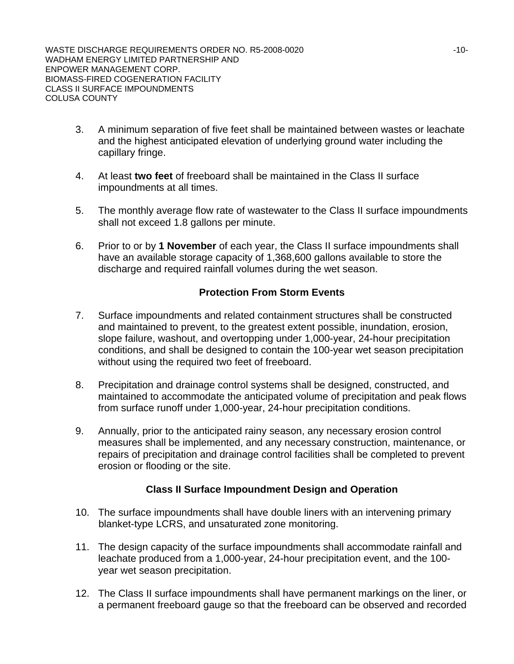WASTE DISCHARGE REQUIREMENTS ORDER NO. R5-2008-0020 WADHAM ENERGY LIMITED PARTNERSHIP AND ENPOWER MANAGEMENT CORP. BIOMASS-FIRED COGENERATION FACILITY CLASS II SURFACE IMPOUNDMENTS COLUSA COUNTY

- 3. A minimum separation of five feet shall be maintained between wastes or leachate and the highest anticipated elevation of underlying ground water including the capillary fringe.
- 4. At least **two feet** of freeboard shall be maintained in the Class II surface impoundments at all times.
- 5. The monthly average flow rate of wastewater to the Class II surface impoundments shall not exceed 1.8 gallons per minute.
- 6. Prior to or by **1 November** of each year, the Class II surface impoundments shall have an available storage capacity of 1,368,600 gallons available to store the discharge and required rainfall volumes during the wet season.

## **Protection From Storm Events**

- 7. Surface impoundments and related containment structures shall be constructed and maintained to prevent, to the greatest extent possible, inundation, erosion, slope failure, washout, and overtopping under 1,000-year, 24-hour precipitation conditions, and shall be designed to contain the 100-year wet season precipitation without using the required two feet of freeboard.
- 8. Precipitation and drainage control systems shall be designed, constructed, and maintained to accommodate the anticipated volume of precipitation and peak flows from surface runoff under 1,000-year, 24-hour precipitation conditions.
- 9. Annually, prior to the anticipated rainy season, any necessary erosion control measures shall be implemented, and any necessary construction, maintenance, or repairs of precipitation and drainage control facilities shall be completed to prevent erosion or flooding or the site.

## **Class II Surface Impoundment Design and Operation**

- 10. The surface impoundments shall have double liners with an intervening primary blanket-type LCRS, and unsaturated zone monitoring.
- 11. The design capacity of the surface impoundments shall accommodate rainfall and leachate produced from a 1,000-year, 24-hour precipitation event, and the 100 year wet season precipitation.
- 12. The Class II surface impoundments shall have permanent markings on the liner, or a permanent freeboard gauge so that the freeboard can be observed and recorded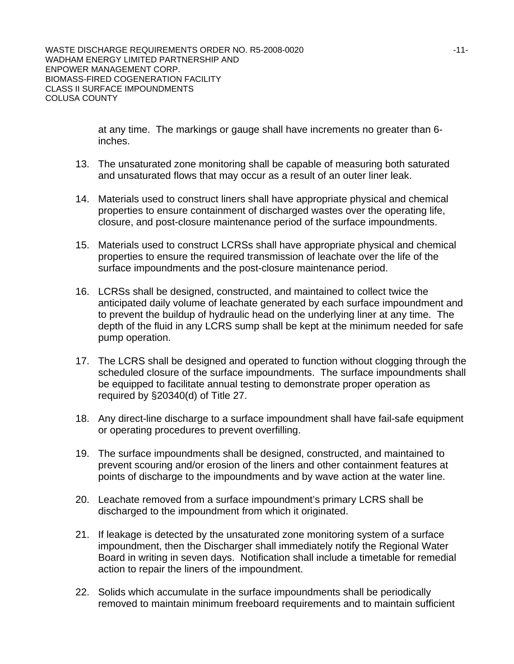at any time. The markings or gauge shall have increments no greater than 6 inches.

- 13. The unsaturated zone monitoring shall be capable of measuring both saturated and unsaturated flows that may occur as a result of an outer liner leak.
- 14. Materials used to construct liners shall have appropriate physical and chemical properties to ensure containment of discharged wastes over the operating life, closure, and post-closure maintenance period of the surface impoundments.
- 15. Materials used to construct LCRSs shall have appropriate physical and chemical properties to ensure the required transmission of leachate over the life of the surface impoundments and the post-closure maintenance period.
- 16. LCRSs shall be designed, constructed, and maintained to collect twice the anticipated daily volume of leachate generated by each surface impoundment and to prevent the buildup of hydraulic head on the underlying liner at any time. The depth of the fluid in any LCRS sump shall be kept at the minimum needed for safe pump operation.
- 17. The LCRS shall be designed and operated to function without clogging through the scheduled closure of the surface impoundments. The surface impoundments shall be equipped to facilitate annual testing to demonstrate proper operation as required by §20340(d) of Title 27.
- 18. Any direct-line discharge to a surface impoundment shall have fail-safe equipment or operating procedures to prevent overfilling.
- 19. The surface impoundments shall be designed, constructed, and maintained to prevent scouring and/or erosion of the liners and other containment features at points of discharge to the impoundments and by wave action at the water line.
- 20. Leachate removed from a surface impoundment's primary LCRS shall be discharged to the impoundment from which it originated.
- 21. If leakage is detected by the unsaturated zone monitoring system of a surface impoundment, then the Discharger shall immediately notify the Regional Water Board in writing in seven days. Notification shall include a timetable for remedial action to repair the liners of the impoundment.
- 22. Solids which accumulate in the surface impoundments shall be periodically removed to maintain minimum freeboard requirements and to maintain sufficient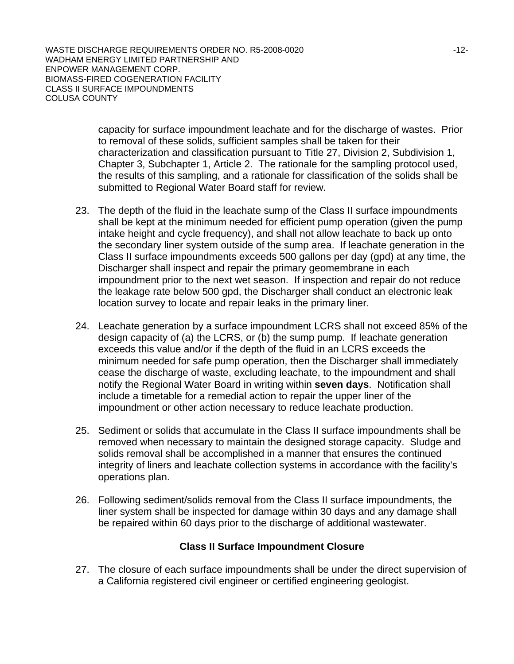WASTE DISCHARGE REQUIREMENTS ORDER NO. R5-2008-0020 UNITED THAT A RESERVE THAT A RESERVE THAT A RESERVE THAT A WADHAM ENERGY LIMITED PARTNERSHIP AND ENPOWER MANAGEMENT CORP. BIOMASS-FIRED COGENERATION FACILITY CLASS II SURFACE IMPOUNDMENTS COLUSA COUNTY

> capacity for surface impoundment leachate and for the discharge of wastes. Prior to removal of these solids, sufficient samples shall be taken for their characterization and classification pursuant to Title 27, Division 2, Subdivision 1, Chapter 3, Subchapter 1, Article 2. The rationale for the sampling protocol used, the results of this sampling, and a rationale for classification of the solids shall be submitted to Regional Water Board staff for review.

- 23. The depth of the fluid in the leachate sump of the Class II surface impoundments shall be kept at the minimum needed for efficient pump operation (given the pump intake height and cycle frequency), and shall not allow leachate to back up onto the secondary liner system outside of the sump area. If leachate generation in the Class II surface impoundments exceeds 500 gallons per day (gpd) at any time, the Discharger shall inspect and repair the primary geomembrane in each impoundment prior to the next wet season. If inspection and repair do not reduce the leakage rate below 500 gpd, the Discharger shall conduct an electronic leak location survey to locate and repair leaks in the primary liner.
- 24. Leachate generation by a surface impoundment LCRS shall not exceed 85% of the design capacity of (a) the LCRS, or (b) the sump pump. If leachate generation exceeds this value and/or if the depth of the fluid in an LCRS exceeds the minimum needed for safe pump operation, then the Discharger shall immediately cease the discharge of waste, excluding leachate, to the impoundment and shall notify the Regional Water Board in writing within **seven days**. Notification shall include a timetable for a remedial action to repair the upper liner of the impoundment or other action necessary to reduce leachate production.
- 25. Sediment or solids that accumulate in the Class II surface impoundments shall be removed when necessary to maintain the designed storage capacity. Sludge and solids removal shall be accomplished in a manner that ensures the continued integrity of liners and leachate collection systems in accordance with the facility's operations plan.
- 26. Following sediment/solids removal from the Class II surface impoundments, the liner system shall be inspected for damage within 30 days and any damage shall be repaired within 60 days prior to the discharge of additional wastewater.

## **Class II Surface Impoundment Closure**

27. The closure of each surface impoundments shall be under the direct supervision of a California registered civil engineer or certified engineering geologist.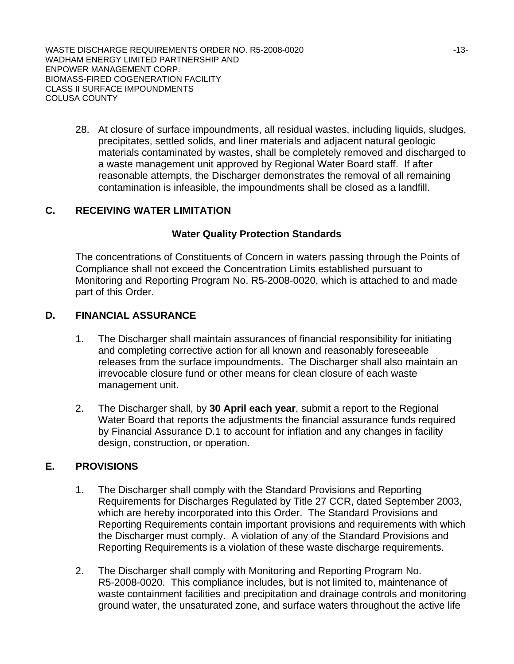WASTE DISCHARGE REQUIREMENTS ORDER NO. R5-2008-0020 UNITED THAT A 13-13-WADHAM ENERGY LIMITED PARTNERSHIP AND ENPOWER MANAGEMENT CORP. BIOMASS-FIRED COGENERATION FACILITY CLASS II SURFACE IMPOUNDMENTS COLUSA COUNTY

28. At closure of surface impoundments, all residual wastes, including liquids, sludges, precipitates, settled solids, and liner materials and adjacent natural geologic materials contaminated by wastes, shall be completely removed and discharged to a waste management unit approved by Regional Water Board staff. If after reasonable attempts, the Discharger demonstrates the removal of all remaining contamination is infeasible, the impoundments shall be closed as a landfill.

# **C. RECEIVING WATER LIMITATION**

## **Water Quality Protection Standards**

The concentrations of Constituents of Concern in waters passing through the Points of Compliance shall not exceed the Concentration Limits established pursuant to Monitoring and Reporting Program No. R5-2008-0020, which is attached to and made part of this Order.

## **D. FINANCIAL ASSURANCE**

- 1. The Discharger shall maintain assurances of financial responsibility for initiating and completing corrective action for all known and reasonably foreseeable releases from the surface impoundments. The Discharger shall also maintain an irrevocable closure fund or other means for clean closure of each waste management unit.
- 2. The Discharger shall, by **30 April each year**, submit a report to the Regional Water Board that reports the adjustments the financial assurance funds required by Financial Assurance D.1 to account for inflation and any changes in facility design, construction, or operation.

## **E. PROVISIONS**

- 1. The Discharger shall comply with the Standard Provisions and Reporting Requirements for Discharges Regulated by Title 27 CCR, dated September 2003, which are hereby incorporated into this Order. The Standard Provisions and Reporting Requirements contain important provisions and requirements with which the Discharger must comply. A violation of any of the Standard Provisions and Reporting Requirements is a violation of these waste discharge requirements.
- 2. The Discharger shall comply with Monitoring and Reporting Program No. R5-2008-0020. This compliance includes, but is not limited to, maintenance of waste containment facilities and precipitation and drainage controls and monitoring ground water, the unsaturated zone, and surface waters throughout the active life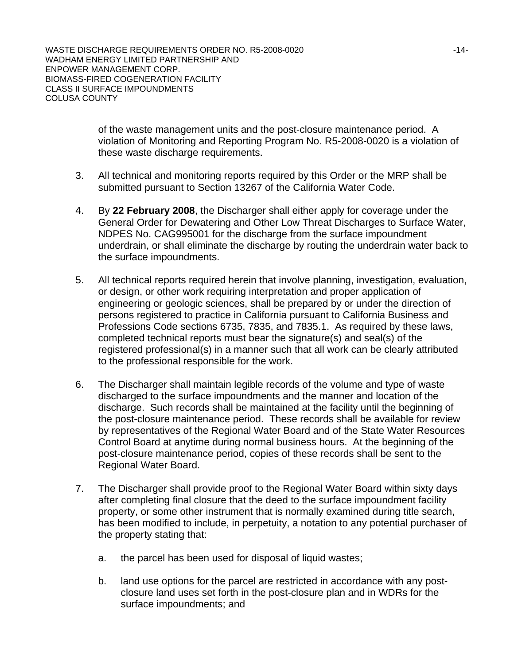of the waste management units and the post-closure maintenance period. A violation of Monitoring and Reporting Program No. R5-2008-0020 is a violation of these waste discharge requirements.

- 3. All technical and monitoring reports required by this Order or the MRP shall be submitted pursuant to Section 13267 of the California Water Code.
- 4. By **22 February 2008**, the Discharger shall either apply for coverage under the General Order for Dewatering and Other Low Threat Discharges to Surface Water, NDPES No. CAG995001 for the discharge from the surface impoundment underdrain, or shall eliminate the discharge by routing the underdrain water back to the surface impoundments.
- 5. All technical reports required herein that involve planning, investigation, evaluation, or design, or other work requiring interpretation and proper application of engineering or geologic sciences, shall be prepared by or under the direction of persons registered to practice in California pursuant to California Business and Professions Code sections 6735, 7835, and 7835.1. As required by these laws, completed technical reports must bear the signature(s) and seal(s) of the registered professional(s) in a manner such that all work can be clearly attributed to the professional responsible for the work.
- 6. The Discharger shall maintain legible records of the volume and type of waste discharged to the surface impoundments and the manner and location of the discharge. Such records shall be maintained at the facility until the beginning of the post-closure maintenance period. These records shall be available for review by representatives of the Regional Water Board and of the State Water Resources Control Board at anytime during normal business hours. At the beginning of the post-closure maintenance period, copies of these records shall be sent to the Regional Water Board.
- 7. The Discharger shall provide proof to the Regional Water Board within sixty days after completing final closure that the deed to the surface impoundment facility property, or some other instrument that is normally examined during title search, has been modified to include, in perpetuity, a notation to any potential purchaser of the property stating that:
	- a. the parcel has been used for disposal of liquid wastes;
	- b. land use options for the parcel are restricted in accordance with any postclosure land uses set forth in the post-closure plan and in WDRs for the surface impoundments; and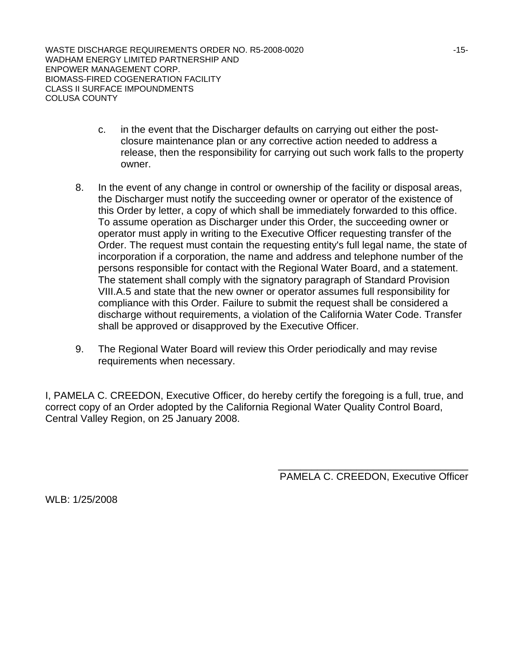WASTE DISCHARGE REQUIREMENTS ORDER NO. R5-2008-0020 WADHAM ENERGY LIMITED PARTNERSHIP AND ENPOWER MANAGEMENT CORP. BIOMASS-FIRED COGENERATION FACILITY CLASS II SURFACE IMPOUNDMENTS COLUSA COUNTY

- c. in the event that the Discharger defaults on carrying out either the postclosure maintenance plan or any corrective action needed to address a release, then the responsibility for carrying out such work falls to the property owner.
- 8. In the event of any change in control or ownership of the facility or disposal areas, the Discharger must notify the succeeding owner or operator of the existence of this Order by letter, a copy of which shall be immediately forwarded to this office. To assume operation as Discharger under this Order, the succeeding owner or operator must apply in writing to the Executive Officer requesting transfer of the Order. The request must contain the requesting entity's full legal name, the state of incorporation if a corporation, the name and address and telephone number of the persons responsible for contact with the Regional Water Board, and a statement. The statement shall comply with the signatory paragraph of Standard Provision VIII.A.5 and state that the new owner or operator assumes full responsibility for compliance with this Order. Failure to submit the request shall be considered a discharge without requirements, a violation of the California Water Code. Transfer shall be approved or disapproved by the Executive Officer.
- 9. The Regional Water Board will review this Order periodically and may revise requirements when necessary.

I, PAMELA C. CREEDON, Executive Officer, do hereby certify the foregoing is a full, true, and correct copy of an Order adopted by the California Regional Water Quality Control Board, Central Valley Region, on 25 January 2008.

> \_\_\_\_\_\_\_\_\_\_\_\_\_\_\_\_\_\_\_\_\_\_\_\_\_\_\_\_\_\_\_\_\_\_ PAMELA C. CREEDON, Executive Officer

WLB: 1/25/2008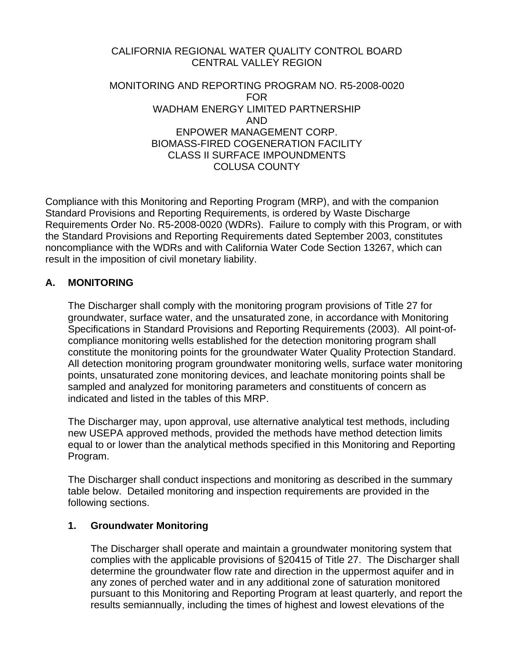# CALIFORNIA REGIONAL WATER QUALITY CONTROL BOARD CENTRAL VALLEY REGION

### MONITORING AND REPORTING PROGRAM NO. R5-2008-0020 FOR WADHAM ENERGY LIMITED PARTNERSHIP AND ENPOWER MANAGEMENT CORP. BIOMASS-FIRED COGENERATION FACILITY CLASS II SURFACE IMPOUNDMENTS COLUSA COUNTY

Compliance with this Monitoring and Reporting Program (MRP), and with the companion Standard Provisions and Reporting Requirements, is ordered by Waste Discharge Requirements Order No. R5-2008-0020 (WDRs). Failure to comply with this Program, or with the Standard Provisions and Reporting Requirements dated September 2003, constitutes noncompliance with the WDRs and with California Water Code Section 13267, which can result in the imposition of civil monetary liability.

## **A. MONITORING**

The Discharger shall comply with the monitoring program provisions of Title 27 for groundwater, surface water, and the unsaturated zone, in accordance with Monitoring Specifications in Standard Provisions and Reporting Requirements (2003). All point-ofcompliance monitoring wells established for the detection monitoring program shall constitute the monitoring points for the groundwater Water Quality Protection Standard. All detection monitoring program groundwater monitoring wells, surface water monitoring points, unsaturated zone monitoring devices, and leachate monitoring points shall be sampled and analyzed for monitoring parameters and constituents of concern as indicated and listed in the tables of this MRP.

The Discharger may, upon approval, use alternative analytical test methods, including new USEPA approved methods, provided the methods have method detection limits equal to or lower than the analytical methods specified in this Monitoring and Reporting Program.

The Discharger shall conduct inspections and monitoring as described in the summary table below. Detailed monitoring and inspection requirements are provided in the following sections.

## **1. Groundwater Monitoring**

The Discharger shall operate and maintain a groundwater monitoring system that complies with the applicable provisions of §20415 of Title 27. The Discharger shall determine the groundwater flow rate and direction in the uppermost aquifer and in any zones of perched water and in any additional zone of saturation monitored pursuant to this Monitoring and Reporting Program at least quarterly, and report the results semiannually, including the times of highest and lowest elevations of the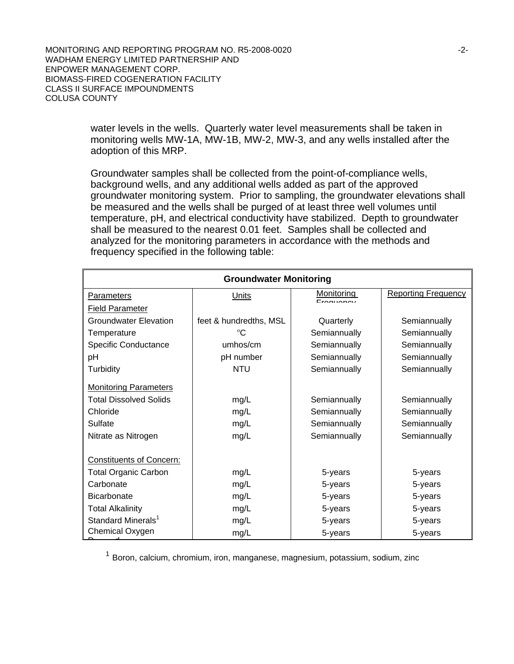> water levels in the wells. Quarterly water level measurements shall be taken in monitoring wells MW-1A, MW-1B, MW-2, MW-3, and any wells installed after the adoption of this MRP.

Groundwater samples shall be collected from the point-of-compliance wells, background wells, and any additional wells added as part of the approved groundwater monitoring system. Prior to sampling, the groundwater elevations shall be measured and the wells shall be purged of at least three well volumes until temperature, pH, and electrical conductivity have stabilized. Depth to groundwater shall be measured to the nearest 0.01 feet. Samples shall be collected and analyzed for the monitoring parameters in accordance with the methods and frequency specified in the following table:

| <b>Groundwater Monitoring</b>   |                        |                  |                            |
|---------------------------------|------------------------|------------------|----------------------------|
| <b>Parameters</b>               | Units                  | Monitoring<br>F. | <b>Reporting Frequency</b> |
| <b>Field Parameter</b>          |                        |                  |                            |
| <b>Groundwater Elevation</b>    | feet & hundredths, MSL | Quarterly        | Semiannually               |
| Temperature                     | °C                     | Semiannually     | Semiannually               |
| <b>Specific Conductance</b>     | umhos/cm               | Semiannually     | Semiannually               |
| рH                              | pH number              | Semiannually     | Semiannually               |
| Turbidity                       | <b>NTU</b>             | Semiannually     | Semiannually               |
| <b>Monitoring Parameters</b>    |                        |                  |                            |
| <b>Total Dissolved Solids</b>   | mg/L                   | Semiannually     | Semiannually               |
| Chloride                        | mg/L                   | Semiannually     | Semiannually               |
| Sulfate                         | mg/L                   | Semiannually     | Semiannually               |
| Nitrate as Nitrogen             | mg/L                   | Semiannually     | Semiannually               |
| <b>Constituents of Concern:</b> |                        |                  |                            |
| <b>Total Organic Carbon</b>     | mg/L                   | 5-years          | 5-years                    |
| Carbonate                       | mg/L                   | 5-years          | 5-years                    |
| <b>Bicarbonate</b>              | mg/L                   | 5-years          | 5-years                    |
| <b>Total Alkalinity</b>         | mg/L                   | 5-years          | 5-years                    |
| Standard Minerals <sup>1</sup>  | mg/L                   | 5-years          | 5-years                    |
| Chemical Oxygen                 | mg/L                   | 5-years          | 5-years                    |

<sup>1</sup> Boron, calcium, chromium, iron, manganese, magnesium, potassium, sodium, zinc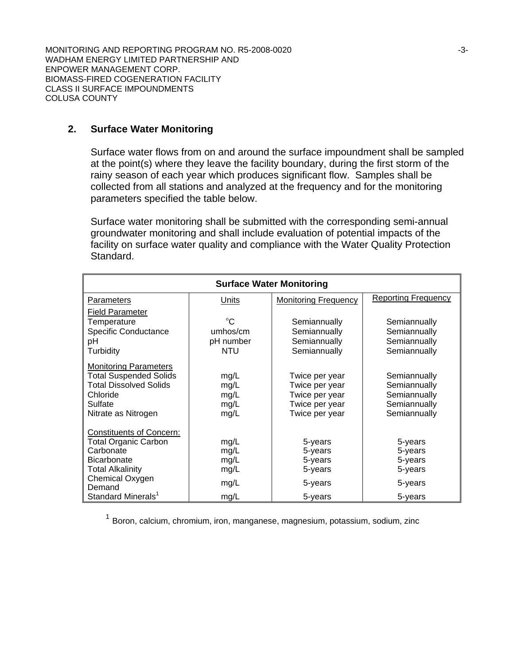### **2. Surface Water Monitoring**

Surface water flows from on and around the surface impoundment shall be sampled at the point(s) where they leave the facility boundary, during the first storm of the rainy season of each year which produces significant flow. Samples shall be collected from all stations and analyzed at the frequency and for the monitoring parameters specified the table below.

Surface water monitoring shall be submitted with the corresponding semi-annual groundwater monitoring and shall include evaluation of potential impacts of the facility on surface water quality and compliance with the Water Quality Protection Standard.

| <b>Surface Water Monitoring</b>                                                                                                                                                             |                                                    |                                                                                        |                                                                              |
|---------------------------------------------------------------------------------------------------------------------------------------------------------------------------------------------|----------------------------------------------------|----------------------------------------------------------------------------------------|------------------------------------------------------------------------------|
| Parameters                                                                                                                                                                                  | <b>Units</b>                                       | <b>Monitoring Frequency</b>                                                            | <b>Reporting Frequency</b>                                                   |
| <b>Field Parameter</b><br>Temperature<br><b>Specific Conductance</b><br>рH<br>Turbidity                                                                                                     | $^{\circ}C$<br>umhos/cm<br>pH number<br><b>NTU</b> | Semiannually<br>Semiannually<br>Semiannually<br>Semiannually                           | Semiannually<br>Semiannually<br>Semiannually<br>Semiannually                 |
| <b>Monitoring Parameters</b><br><b>Total Suspended Solids</b><br><b>Total Dissolved Solids</b><br>Chloride<br>Sulfate<br>Nitrate as Nitrogen                                                | mg/L<br>mg/L<br>mg/L<br>mg/L<br>mg/L               | Twice per year<br>Twice per year<br>Twice per year<br>Twice per year<br>Twice per year | Semiannually<br>Semiannually<br>Semiannually<br>Semiannually<br>Semiannually |
| <b>Constituents of Concern:</b><br><b>Total Organic Carbon</b><br>Carbonate<br><b>Bicarbonate</b><br><b>Total Alkalinity</b><br>Chemical Oxygen<br>Demand<br>Standard Minerals <sup>1</sup> | mg/L<br>mg/L<br>mg/L<br>mg/L<br>mg/L<br>mg/L       | 5-years<br>5-years<br>5-years<br>5-years<br>5-years<br>5-years                         | 5-years<br>5-years<br>5-years<br>5-years<br>5-years<br>5-years               |

<sup>1</sup> Boron, calcium, chromium, iron, manganese, magnesium, potassium, sodium, zinc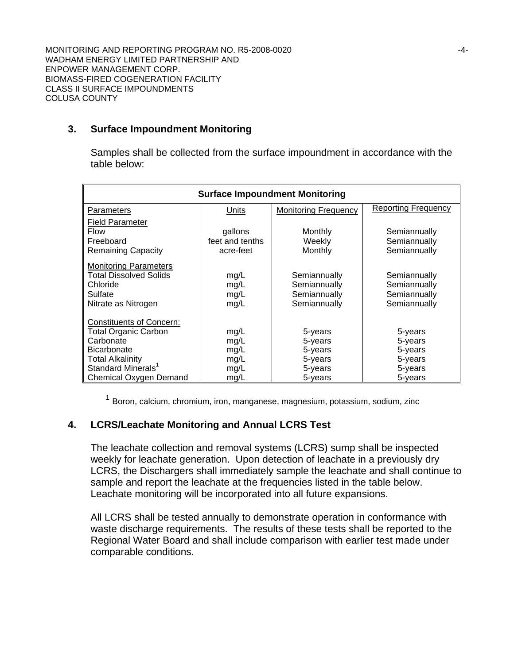### **3. Surface Impoundment Monitoring**

Samples shall be collected from the surface impoundment in accordance with the table below:

| <b>Surface Impoundment Monitoring</b>                                                                                                                                                    |                                              |                                                                |                                                                |
|------------------------------------------------------------------------------------------------------------------------------------------------------------------------------------------|----------------------------------------------|----------------------------------------------------------------|----------------------------------------------------------------|
| <b>Parameters</b>                                                                                                                                                                        | Units                                        | <b>Monitoring Frequency</b>                                    | <b>Reporting Frequency</b>                                     |
| <b>Field Parameter</b><br><b>Flow</b><br>Freeboard<br><b>Remaining Capacity</b>                                                                                                          | gallons<br>feet and tenths<br>acre-feet      | Monthly<br>Weekly<br>Monthly                                   | Semiannually<br>Semiannually<br>Semiannually                   |
| <b>Monitoring Parameters</b><br><b>Total Dissolved Solids</b><br>Chloride<br>Sulfate<br>Nitrate as Nitrogen                                                                              | mg/L<br>mg/L<br>mg/L<br>mg/L                 | Semiannually<br>Semiannually<br>Semiannually<br>Semiannually   | Semiannually<br>Semiannually<br>Semiannually<br>Semiannually   |
| <b>Constituents of Concern:</b><br><b>Total Organic Carbon</b><br>Carbonate<br><b>Bicarbonate</b><br><b>Total Alkalinity</b><br>Standard Minerals <sup>1</sup><br>Chemical Oxygen Demand | mg/L<br>mg/L<br>mg/L<br>mg/L<br>mg/L<br>mg/L | 5-years<br>5-years<br>5-years<br>5-years<br>5-years<br>5-years | 5-years<br>5-years<br>5-years<br>5-years<br>5-years<br>5-years |

<sup>1</sup> Boron, calcium, chromium, iron, manganese, magnesium, potassium, sodium, zinc

## **4. LCRS/Leachate Monitoring and Annual LCRS Test**

The leachate collection and removal systems (LCRS) sump shall be inspected weekly for leachate generation. Upon detection of leachate in a previously dry LCRS, the Dischargers shall immediately sample the leachate and shall continue to sample and report the leachate at the frequencies listed in the table below. Leachate monitoring will be incorporated into all future expansions.

All LCRS shall be tested annually to demonstrate operation in conformance with waste discharge requirements. The results of these tests shall be reported to the Regional Water Board and shall include comparison with earlier test made under comparable conditions.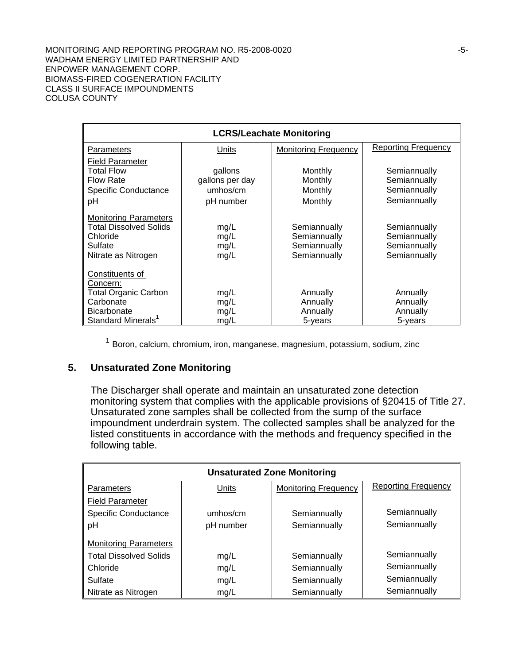MONITORING AND REPORTING PROGRAM NO. R5-2008-0020 **FOUR SEXELVE ASSAULT ASSAULT** FOUR SEXECUTES WADHAM ENERGY LIMITED PARTNERSHIP AND ENPOWER MANAGEMENT CORP. BIOMASS-FIRED COGENERATION FACILITY CLASS II SURFACE IMPOUNDMENTS COLUSA COUNTY

| <b>LCRS/Leachate Monitoring</b>                                                                                                 |                                                     |                                                              |                                                              |
|---------------------------------------------------------------------------------------------------------------------------------|-----------------------------------------------------|--------------------------------------------------------------|--------------------------------------------------------------|
| Parameters                                                                                                                      | Units                                               | <b>Monitoring Frequency</b>                                  | <b>Reporting Frequency</b>                                   |
| <b>Field Parameter</b><br><b>Total Flow</b><br><b>Flow Rate</b><br><b>Specific Conductance</b><br>рH                            | gallons<br>gallons per day<br>umhos/cm<br>pH number | Monthly<br>Monthly<br>Monthly<br>Monthly                     | Semiannually<br>Semiannually<br>Semiannually<br>Semiannually |
| <b>Monitoring Parameters</b><br><b>Total Dissolved Solids</b><br>Chloride<br>Sulfate<br>Nitrate as Nitrogen                     | mg/L<br>mg/L<br>mg/L<br>mg/L                        | Semiannually<br>Semiannually<br>Semiannually<br>Semiannually | Semiannually<br>Semiannually<br>Semiannually<br>Semiannually |
| Constituents of<br>Concern:<br><b>Total Organic Carbon</b><br>Carbonate<br><b>Bicarbonate</b><br>Standard Minerals <sup>1</sup> | mg/L<br>mg/L<br>mg/L<br>mg/L                        | Annually<br>Annually<br>Annually<br>5-years                  | Annually<br>Annually<br>Annually<br>5-years                  |

<sup>1</sup> Boron, calcium, chromium, iron, manganese, magnesium, potassium, sodium, zinc

### **5. Unsaturated Zone Monitoring**

The Discharger shall operate and maintain an unsaturated zone detection monitoring system that complies with the applicable provisions of §20415 of Title 27. Unsaturated zone samples shall be collected from the sump of the surface impoundment underdrain system. The collected samples shall be analyzed for the listed constituents in accordance with the methods and frequency specified in the following table.

| <b>Unsaturated Zone Monitoring</b> |           |                             |                            |
|------------------------------------|-----------|-----------------------------|----------------------------|
| Parameters                         | Units     | <b>Monitoring Frequency</b> | <b>Reporting Frequency</b> |
| <b>Field Parameter</b>             |           |                             |                            |
| <b>Specific Conductance</b>        | umhos/cm  | Semiannually                | Semiannually               |
| pH                                 | pH number | Semiannually                | Semiannually               |
| <b>Monitoring Parameters</b>       |           |                             |                            |
| <b>Total Dissolved Solids</b>      | mg/L      | Semiannually                | Semiannually               |
| Chloride                           | mg/L      | Semiannually                | Semiannually               |
| Sulfate                            | mg/L      | Semiannually                | Semiannually               |
| Nitrate as Nitrogen                | mg/L      | Semiannually                | Semiannually               |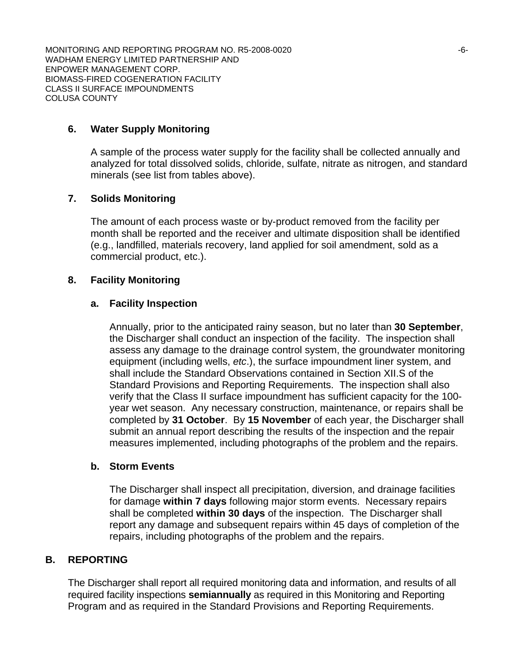### **6. Water Supply Monitoring**

A sample of the process water supply for the facility shall be collected annually and analyzed for total dissolved solids, chloride, sulfate, nitrate as nitrogen, and standard minerals (see list from tables above).

# **7. Solids Monitoring**

The amount of each process waste or by-product removed from the facility per month shall be reported and the receiver and ultimate disposition shall be identified (e.g., landfilled, materials recovery, land applied for soil amendment, sold as a commercial product, etc.).

#### **8. Facility Monitoring**

#### **a. Facility Inspection**

Annually, prior to the anticipated rainy season, but no later than **30 September**, the Discharger shall conduct an inspection of the facility. The inspection shall assess any damage to the drainage control system, the groundwater monitoring equipment (including wells, *etc*.), the surface impoundment liner system, and shall include the Standard Observations contained in Section XII.S of the Standard Provisions and Reporting Requirements. The inspection shall also verify that the Class II surface impoundment has sufficient capacity for the 100 year wet season. Any necessary construction, maintenance, or repairs shall be completed by **31 October**. By **15 November** of each year, the Discharger shall submit an annual report describing the results of the inspection and the repair measures implemented, including photographs of the problem and the repairs.

#### **b. Storm Events**

The Discharger shall inspect all precipitation, diversion, and drainage facilities for damage **within 7 days** following major storm events. Necessary repairs shall be completed **within 30 days** of the inspection. The Discharger shall report any damage and subsequent repairs within 45 days of completion of the repairs, including photographs of the problem and the repairs.

#### **B. REPORTING**

The Discharger shall report all required monitoring data and information, and results of all required facility inspections **semiannually** as required in this Monitoring and Reporting Program and as required in the Standard Provisions and Reporting Requirements.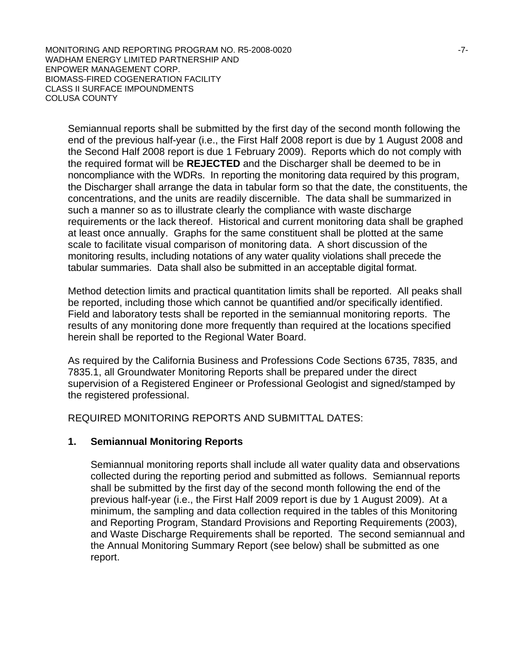MONITORING AND REPORTING PROGRAM NO. R5-2008-0020 **FOLLOWING THE REPORTING PROGRAM NO. R5-2008-0020** WADHAM ENERGY LIMITED PARTNERSHIP AND ENPOWER MANAGEMENT CORP. BIOMASS-FIRED COGENERATION FACILITY CLASS II SURFACE IMPOUNDMENTS COLUSA COUNTY

Semiannual reports shall be submitted by the first day of the second month following the end of the previous half-year (i.e., the First Half 2008 report is due by 1 August 2008 and the Second Half 2008 report is due 1 February 2009). Reports which do not comply with the required format will be **REJECTED** and the Discharger shall be deemed to be in noncompliance with the WDRs. In reporting the monitoring data required by this program, the Discharger shall arrange the data in tabular form so that the date, the constituents, the concentrations, and the units are readily discernible. The data shall be summarized in such a manner so as to illustrate clearly the compliance with waste discharge requirements or the lack thereof. Historical and current monitoring data shall be graphed at least once annually. Graphs for the same constituent shall be plotted at the same scale to facilitate visual comparison of monitoring data. A short discussion of the monitoring results, including notations of any water quality violations shall precede the tabular summaries. Data shall also be submitted in an acceptable digital format.

Method detection limits and practical quantitation limits shall be reported. All peaks shall be reported, including those which cannot be quantified and/or specifically identified. Field and laboratory tests shall be reported in the semiannual monitoring reports. The results of any monitoring done more frequently than required at the locations specified herein shall be reported to the Regional Water Board.

As required by the California Business and Professions Code Sections 6735, 7835, and 7835.1, all Groundwater Monitoring Reports shall be prepared under the direct supervision of a Registered Engineer or Professional Geologist and signed/stamped by the registered professional.

REQUIRED MONITORING REPORTS AND SUBMITTAL DATES:

## **1. Semiannual Monitoring Reports**

 Semiannual monitoring reports shall include all water quality data and observations collected during the reporting period and submitted as follows. Semiannual reports shall be submitted by the first day of the second month following the end of the previous half-year (i.e., the First Half 2009 report is due by 1 August 2009). At a minimum, the sampling and data collection required in the tables of this Monitoring and Reporting Program, Standard Provisions and Reporting Requirements (2003), and Waste Discharge Requirements shall be reported. The second semiannual and the Annual Monitoring Summary Report (see below) shall be submitted as one report.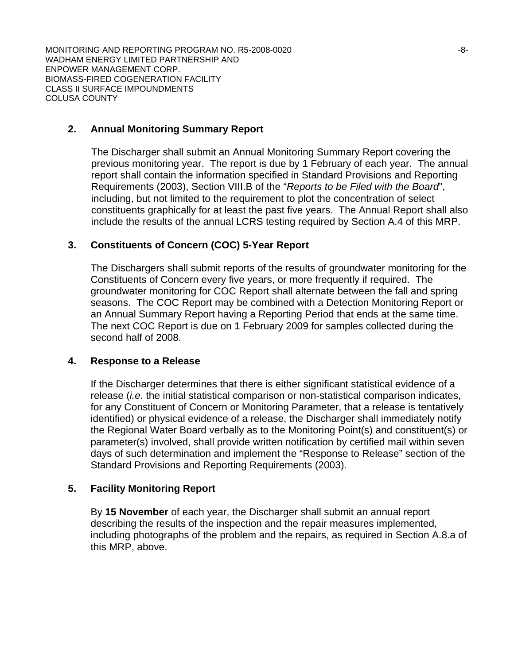### **2. Annual Monitoring Summary Report**

 The Discharger shall submit an Annual Monitoring Summary Report covering the previous monitoring year. The report is due by 1 February of each year. The annual report shall contain the information specified in Standard Provisions and Reporting Requirements (2003), Section VIII.B of the "*Reports to be Filed with the Board*", including, but not limited to the requirement to plot the concentration of select constituents graphically for at least the past five years. The Annual Report shall also include the results of the annual LCRS testing required by Section A.4 of this MRP.

### **3. Constituents of Concern (COC) 5-Year Report**

 The Dischargers shall submit reports of the results of groundwater monitoring for the Constituents of Concern every five years, or more frequently if required. The groundwater monitoring for COC Report shall alternate between the fall and spring seasons. The COC Report may be combined with a Detection Monitoring Report or an Annual Summary Report having a Reporting Period that ends at the same time. The next COC Report is due on 1 February 2009 for samples collected during the second half of 2008.

#### **4. Response to a Release**

If the Discharger determines that there is either significant statistical evidence of a release (*i.e*. the initial statistical comparison or non-statistical comparison indicates, for any Constituent of Concern or Monitoring Parameter, that a release is tentatively identified) or physical evidence of a release, the Discharger shall immediately notify the Regional Water Board verbally as to the Monitoring Point(s) and constituent(s) or parameter(s) involved, shall provide written notification by certified mail within seven days of such determination and implement the "Response to Release" section of the Standard Provisions and Reporting Requirements (2003).

#### **5. Facility Monitoring Report**

By **15 November** of each year, the Discharger shall submit an annual report describing the results of the inspection and the repair measures implemented, including photographs of the problem and the repairs, as required in Section A.8.a of this MRP, above.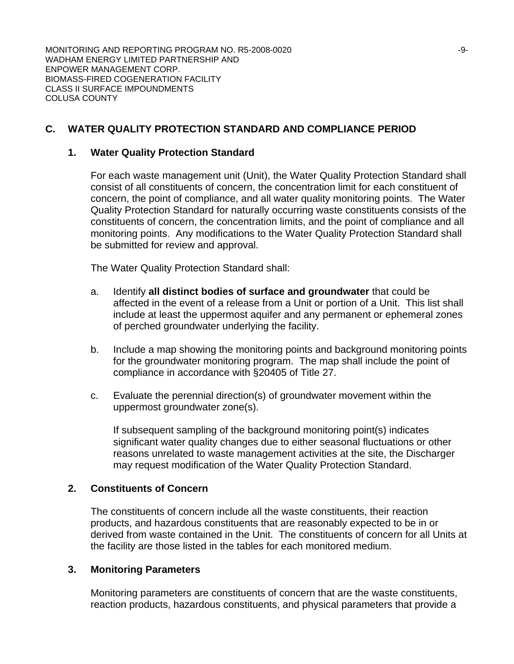# **C. WATER QUALITY PROTECTION STANDARD AND COMPLIANCE PERIOD**

#### **1. Water Quality Protection Standard**

For each waste management unit (Unit), the Water Quality Protection Standard shall consist of all constituents of concern, the concentration limit for each constituent of concern, the point of compliance, and all water quality monitoring points. The Water Quality Protection Standard for naturally occurring waste constituents consists of the constituents of concern, the concentration limits, and the point of compliance and all monitoring points. Any modifications to the Water Quality Protection Standard shall be submitted for review and approval.

The Water Quality Protection Standard shall:

- a. Identify **all distinct bodies of surface and groundwater** that could be affected in the event of a release from a Unit or portion of a Unit. This list shall include at least the uppermost aquifer and any permanent or ephemeral zones of perched groundwater underlying the facility.
- b. Include a map showing the monitoring points and background monitoring points for the groundwater monitoring program. The map shall include the point of compliance in accordance with §20405 of Title 27.
- c. Evaluate the perennial direction(s) of groundwater movement within the uppermost groundwater zone(s).

If subsequent sampling of the background monitoring point(s) indicates significant water quality changes due to either seasonal fluctuations or other reasons unrelated to waste management activities at the site, the Discharger may request modification of the Water Quality Protection Standard.

#### **2. Constituents of Concern**

The constituents of concern include all the waste constituents, their reaction products, and hazardous constituents that are reasonably expected to be in or derived from waste contained in the Unit. The constituents of concern for all Units at the facility are those listed in the tables for each monitored medium.

#### **3. Monitoring Parameters**

Monitoring parameters are constituents of concern that are the waste constituents, reaction products, hazardous constituents, and physical parameters that provide a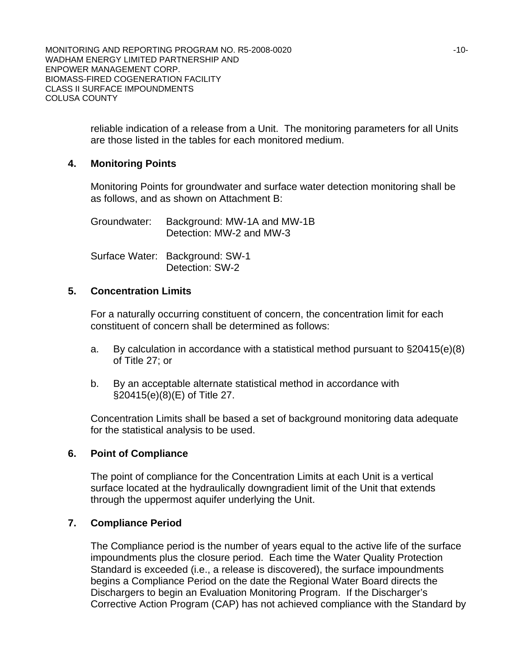> reliable indication of a release from a Unit. The monitoring parameters for all Units are those listed in the tables for each monitored medium.

### **4. Monitoring Points**

Monitoring Points for groundwater and surface water detection monitoring shall be as follows, and as shown on Attachment B:

| Groundwater: | Background: MW-1A and MW-1B<br>Detection: MW-2 and MW-3 |
|--------------|---------------------------------------------------------|
|              | Surface Water: Background: SW-1<br>Detection: SW-2      |

### **5. Concentration Limits**

For a naturally occurring constituent of concern, the concentration limit for each constituent of concern shall be determined as follows:

- a. By calculation in accordance with a statistical method pursuant to §20415(e)(8) of Title 27; or
- b. By an acceptable alternate statistical method in accordance with §20415(e)(8)(E) of Title 27.

Concentration Limits shall be based a set of background monitoring data adequate for the statistical analysis to be used.

## **6. Point of Compliance**

The point of compliance for the Concentration Limits at each Unit is a vertical surface located at the hydraulically downgradient limit of the Unit that extends through the uppermost aquifer underlying the Unit.

## **7. Compliance Period**

The Compliance period is the number of years equal to the active life of the surface impoundments plus the closure period. Each time the Water Quality Protection Standard is exceeded (i.e., a release is discovered), the surface impoundments begins a Compliance Period on the date the Regional Water Board directs the Dischargers to begin an Evaluation Monitoring Program. If the Discharger's Corrective Action Program (CAP) has not achieved compliance with the Standard by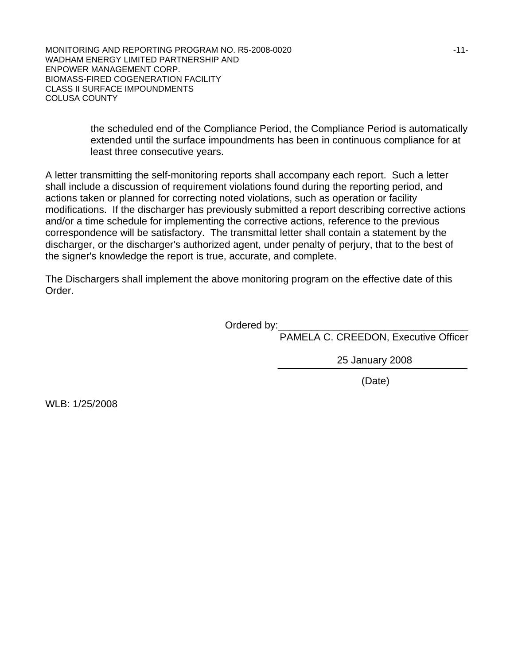> the scheduled end of the Compliance Period, the Compliance Period is automatically extended until the surface impoundments has been in continuous compliance for at least three consecutive years.

A letter transmitting the self-monitoring reports shall accompany each report. Such a letter shall include a discussion of requirement violations found during the reporting period, and actions taken or planned for correcting noted violations, such as operation or facility modifications. If the discharger has previously submitted a report describing corrective actions and/or a time schedule for implementing the corrective actions, reference to the previous correspondence will be satisfactory. The transmittal letter shall contain a statement by the discharger, or the discharger's authorized agent, under penalty of perjury, that to the best of the signer's knowledge the report is true, accurate, and complete.

The Dischargers shall implement the above monitoring program on the effective date of this Order.

Ordered by:

PAMELA C. CREEDON, Executive Officer

25 January 2008

(Date)

WLB: 1/25/2008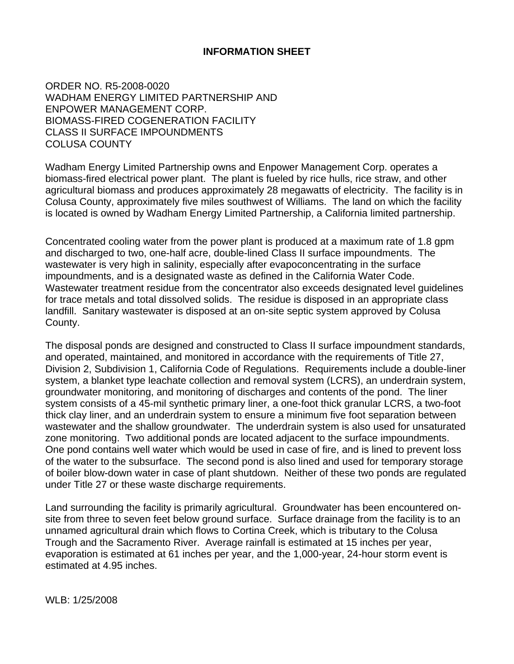# **INFORMATION SHEET**

ORDER NO. R5-2008-0020 WADHAM ENERGY LIMITED PARTNERSHIP AND ENPOWER MANAGEMENT CORP. BIOMASS-FIRED COGENERATION FACILITY CLASS II SURFACE IMPOUNDMENTS COLUSA COUNTY

Wadham Energy Limited Partnership owns and Enpower Management Corp. operates a biomass-fired electrical power plant. The plant is fueled by rice hulls, rice straw, and other agricultural biomass and produces approximately 28 megawatts of electricity. The facility is in Colusa County, approximately five miles southwest of Williams. The land on which the facility is located is owned by Wadham Energy Limited Partnership, a California limited partnership.

Concentrated cooling water from the power plant is produced at a maximum rate of 1.8 gpm and discharged to two, one-half acre, double-lined Class II surface impoundments. The wastewater is very high in salinity, especially after evapoconcentrating in the surface impoundments, and is a designated waste as defined in the California Water Code. Wastewater treatment residue from the concentrator also exceeds designated level guidelines for trace metals and total dissolved solids. The residue is disposed in an appropriate class landfill. Sanitary wastewater is disposed at an on-site septic system approved by Colusa County.

The disposal ponds are designed and constructed to Class II surface impoundment standards, and operated, maintained, and monitored in accordance with the requirements of Title 27, Division 2, Subdivision 1, California Code of Regulations. Requirements include a double-liner system, a blanket type leachate collection and removal system (LCRS), an underdrain system, groundwater monitoring, and monitoring of discharges and contents of the pond. The liner system consists of a 45-mil synthetic primary liner, a one-foot thick granular LCRS, a two-foot thick clay liner, and an underdrain system to ensure a minimum five foot separation between wastewater and the shallow groundwater. The underdrain system is also used for unsaturated zone monitoring. Two additional ponds are located adjacent to the surface impoundments. One pond contains well water which would be used in case of fire, and is lined to prevent loss of the water to the subsurface. The second pond is also lined and used for temporary storage of boiler blow-down water in case of plant shutdown. Neither of these two ponds are regulated under Title 27 or these waste discharge requirements.

Land surrounding the facility is primarily agricultural. Groundwater has been encountered onsite from three to seven feet below ground surface. Surface drainage from the facility is to an unnamed agricultural drain which flows to Cortina Creek, which is tributary to the Colusa Trough and the Sacramento River. Average rainfall is estimated at 15 inches per year, evaporation is estimated at 61 inches per year, and the 1,000-year, 24-hour storm event is estimated at 4.95 inches.

WLB: 1/25/2008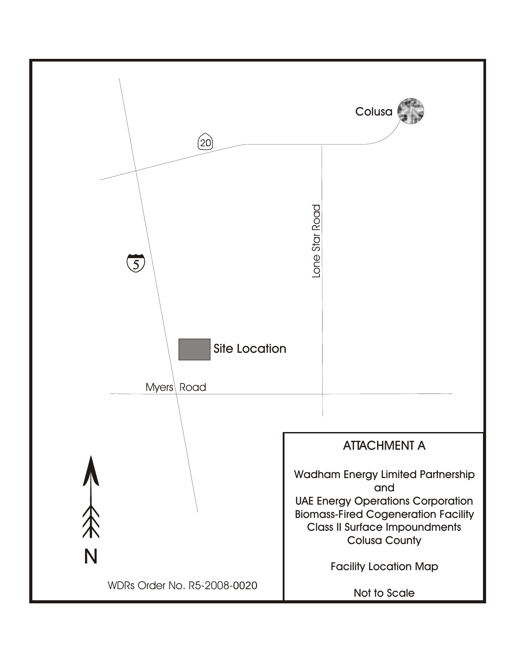